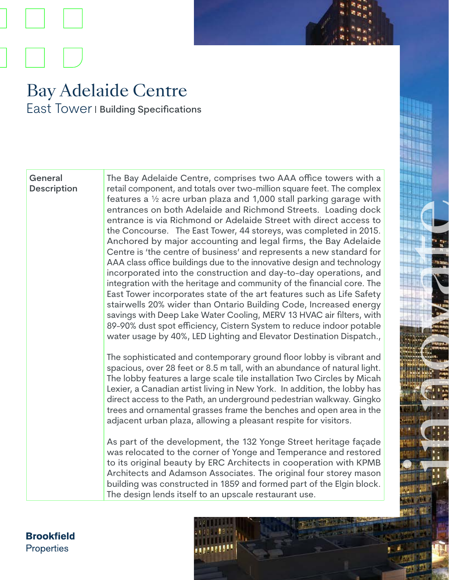## Bay Adelaide Centre East Tower I Building Specifications

## **General Description**

The Bay Adelaide Centre, comprises two AAA office towers with a retail component, and totals over two-million square feet. The complex features a ½ acre urban plaza and 1,000 stall parking garage with entrances on both Adelaide and Richmond Streets. Loading dock entrance is via Richmond or Adelaide Street with direct access to the Concourse. The East Tower, 44 storeys, was completed in 2015. Anchored by major accounting and legal firms, the Bay Adelaide Centre is 'the centre of business' and represents a new standard for AAA class office buildings due to the innovative design and technology incorporated into the construction and day-to-day operations, and integration with the heritage and community of the financial core. The East Tower incorporates state of the art features such as Life Safety stairwells 20% wider than Ontario Building Code, Increased energy savings with Deep Lake Water Cooling, MERV 13 HVAC air filters, with 89-90% dust spot efficiency, Cistern System to reduce indoor potable water usage by 40%, LED Lighting and Elevator Destination Dispatch.,

The sophisticated and contemporary ground floor lobby is vibrant and spacious, over 28 feet or 8.5 m tall, with an abundance of natural light. The lobby features a large scale tile installation Two Circles by Micah Lexier, a Canadian artist living in New York. In addition, the lobby has direct access to the Path, an underground pedestrian walkway. Gingko trees and ornamental grasses frame the benches and open area in the adjacent urban plaza, allowing a pleasant respite for visitors.

innovate a se de la propiedad de la

As part of the development, the 132 Yonge Street heritage façade was relocated to the corner of Yonge and Temperance and restored to its original beauty by ERC Architects in cooperation with KPMB Architects and Adamson Associates. The original four storey mason building was constructed in 1859 and formed part of the Elgin block. The design lends itself to an upscale restaurant use.

**Brookfield Properties**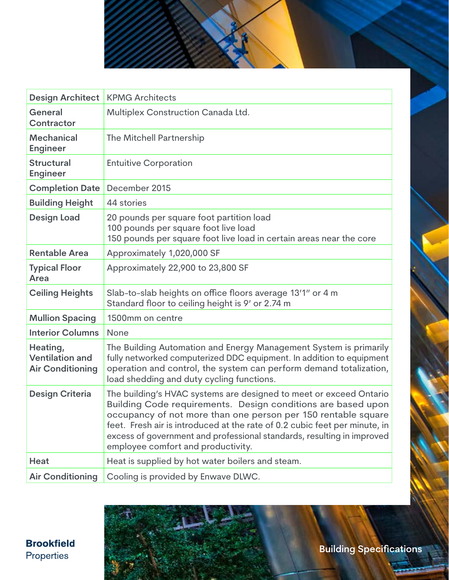

| <b>Design Architect</b>                                       | <b>KPMG Architects</b>                                                                                                                                                                                                                                                                                                                                                                            |
|---------------------------------------------------------------|---------------------------------------------------------------------------------------------------------------------------------------------------------------------------------------------------------------------------------------------------------------------------------------------------------------------------------------------------------------------------------------------------|
| General<br><b>Contractor</b>                                  | Multiplex Construction Canada Ltd.                                                                                                                                                                                                                                                                                                                                                                |
| <b>Mechanical</b><br><b>Engineer</b>                          | The Mitchell Partnership                                                                                                                                                                                                                                                                                                                                                                          |
| <b>Structural</b><br><b>Engineer</b>                          | <b>Entuitive Corporation</b>                                                                                                                                                                                                                                                                                                                                                                      |
| <b>Completion Date</b>                                        | December 2015                                                                                                                                                                                                                                                                                                                                                                                     |
| <b>Building Height</b>                                        | 44 stories                                                                                                                                                                                                                                                                                                                                                                                        |
| <b>Design Load</b>                                            | 20 pounds per square foot partition load<br>100 pounds per square foot live load<br>150 pounds per square foot live load in certain areas near the core                                                                                                                                                                                                                                           |
| <b>Rentable Area</b>                                          | Approximately 1,020,000 SF                                                                                                                                                                                                                                                                                                                                                                        |
| <b>Typical Floor</b><br>Area                                  | Approximately 22,900 to 23,800 SF                                                                                                                                                                                                                                                                                                                                                                 |
| <b>Ceiling Heights</b>                                        | Slab-to-slab heights on office floors average 13'1" or 4 m<br>Standard floor to ceiling height is 9' or 2.74 m                                                                                                                                                                                                                                                                                    |
| <b>Mullion Spacing</b>                                        | 1500mm on centre                                                                                                                                                                                                                                                                                                                                                                                  |
| <b>Interior Columns</b>                                       | <b>None</b>                                                                                                                                                                                                                                                                                                                                                                                       |
| Heating,<br><b>Ventilation and</b><br><b>Air Conditioning</b> | The Building Automation and Energy Management System is primarily<br>fully networked computerized DDC equipment. In addition to equipment<br>operation and control, the system can perform demand totalization,<br>load shedding and duty cycling functions.                                                                                                                                      |
| <b>Design Criteria</b>                                        | The building's HVAC systems are designed to meet or exceed Ontario<br>Building Code requirements. Design conditions are based upon<br>occupancy of not more than one person per 150 rentable square<br>feet. Fresh air is introduced at the rate of 0.2 cubic feet per minute, in<br>excess of government and professional standards, resulting in improved<br>employee comfort and productivity. |
| Heat                                                          | Heat is supplied by hot water boilers and steam.                                                                                                                                                                                                                                                                                                                                                  |
| <b>Air Conditioning</b>                                       | Cooling is provided by Enwave DLWC.                                                                                                                                                                                                                                                                                                                                                               |

**Brookfield** Properties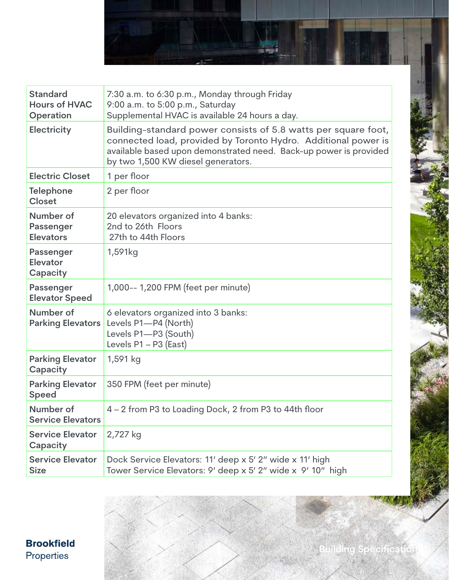

| <b>Standard</b><br><b>Hours of HVAC</b><br>Operation | 7:30 a.m. to 6:30 p.m., Monday through Friday<br>9:00 a.m. to 5:00 p.m., Saturday<br>Supplemental HVAC is available 24 hours a day.                                                                                                         |
|------------------------------------------------------|---------------------------------------------------------------------------------------------------------------------------------------------------------------------------------------------------------------------------------------------|
| <b>Electricity</b>                                   | Building-standard power consists of 5.8 watts per square foot,<br>connected load, provided by Toronto Hydro. Additional power is<br>available based upon demonstrated need. Back-up power is provided<br>by two 1,500 KW diesel generators. |
| <b>Electric Closet</b>                               | 1 per floor                                                                                                                                                                                                                                 |
| <b>Telephone</b><br><b>Closet</b>                    | 2 per floor                                                                                                                                                                                                                                 |
| Number of<br>Passenger<br><b>Elevators</b>           | 20 elevators organized into 4 banks:<br>2nd to 26th Floors<br>27th to 44th Floors                                                                                                                                                           |
| Passenger<br>Elevator<br>Capacity                    | 1,591kg                                                                                                                                                                                                                                     |
| Passenger<br><b>Elevator Speed</b>                   | 1,000-- 1,200 FPM (feet per minute)                                                                                                                                                                                                         |
| Number of<br><b>Parking Elevators</b>                | 6 elevators organized into 3 banks:<br>Levels P1-P4 (North)<br>Levels P1-P3 (South)<br>Levels $P1 - P3$ (East)                                                                                                                              |
| <b>Parking Elevator</b><br>Capacity                  | 1,591 kg                                                                                                                                                                                                                                    |
| <b>Parking Elevator</b><br><b>Speed</b>              | 350 FPM (feet per minute)                                                                                                                                                                                                                   |
| Number of<br><b>Service Elevators</b>                | 4 – 2 from P3 to Loading Dock, 2 from P3 to 44th floor                                                                                                                                                                                      |
| <b>Service Elevator</b><br>Capacity                  | 2,727 kg                                                                                                                                                                                                                                    |
| <b>Service Elevator</b><br><b>Size</b>               | Dock Service Elevators: 11' deep x 5' 2" wide x 11' high<br>Tower Service Elevators: 9' deep x 5' 2" wide x 9' 10" high                                                                                                                     |

**Building Specifications**

**Brookfield** Properties